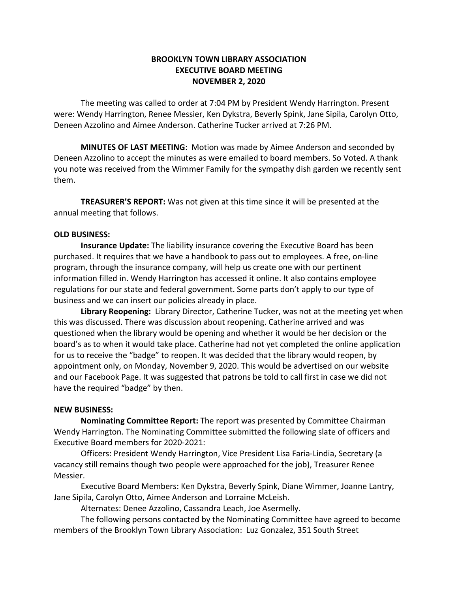## **BROOKLYN TOWN LIBRARY ASSOCIATION EXECUTIVE BOARD MEETING NOVEMBER 2, 2020**

The meeting was called to order at 7:04 PM by President Wendy Harrington. Present were: Wendy Harrington, Renee Messier, Ken Dykstra, Beverly Spink, Jane Sipila, Carolyn Otto, Deneen Azzolino and Aimee Anderson. Catherine Tucker arrived at 7:26 PM.

**MINUTES OF LAST MEETING**: Motion was made by Aimee Anderson and seconded by Deneen Azzolino to accept the minutes as were emailed to board members. So Voted. A thank you note was received from the Wimmer Family for the sympathy dish garden we recently sent them.

**TREASURER'S REPORT:** Was not given at this time since it will be presented at the annual meeting that follows.

## **OLD BUSINESS:**

**Insurance Update:** The liability insurance covering the Executive Board has been purchased. It requires that we have a handbook to pass out to employees. A free, on-line program, through the insurance company, will help us create one with our pertinent information filled in. Wendy Harrington has accessed it online. It also contains employee regulations for our state and federal government. Some parts don't apply to our type of business and we can insert our policies already in place.

**Library Reopening:** Library Director, Catherine Tucker, was not at the meeting yet when this was discussed. There was discussion about reopening. Catherine arrived and was questioned when the library would be opening and whether it would be her decision or the board's as to when it would take place. Catherine had not yet completed the online application for us to receive the "badge" to reopen. It was decided that the library would reopen, by appointment only, on Monday, November 9, 2020. This would be advertised on our website and our Facebook Page. It was suggested that patrons be told to call first in case we did not have the required "badge" by then.

## **NEW BUSINESS:**

**Nominating Committee Report:** The report was presented by Committee Chairman Wendy Harrington. The Nominating Committee submitted the following slate of officers and Executive Board members for 2020-2021:

Officers: President Wendy Harrington, Vice President Lisa Faria-Lindia, Secretary (a vacancy still remains though two people were approached for the job), Treasurer Renee Messier.

Executive Board Members: Ken Dykstra, Beverly Spink, Diane Wimmer, Joanne Lantry, Jane Sipila, Carolyn Otto, Aimee Anderson and Lorraine McLeish.

Alternates: Denee Azzolino, Cassandra Leach, Joe Asermelly.

The following persons contacted by the Nominating Committee have agreed to become members of the Brooklyn Town Library Association: Luz Gonzalez, 351 South Street